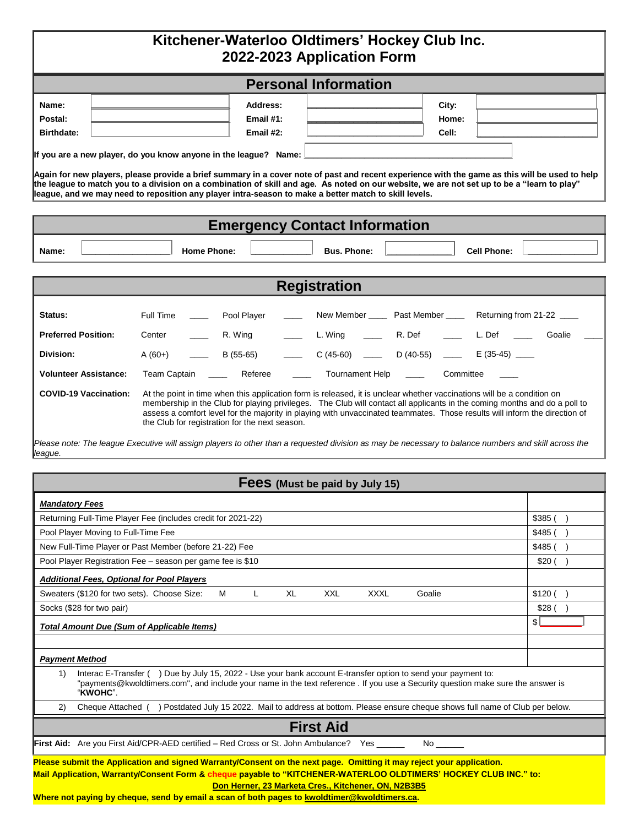| <b>Personal Information</b> |           |       |  |  |
|-----------------------------|-----------|-------|--|--|
| Name:                       | Address:  | City: |  |  |
| Postal:                     | Email #1: | Home: |  |  |
| <b>Birthdate:</b>           | Email #2: | Cell: |  |  |

| <b>Emergency Contact Information</b> |  |                    |  |                    |  |                    |  |
|--------------------------------------|--|--------------------|--|--------------------|--|--------------------|--|
| Name:                                |  | <b>Home Phone:</b> |  | <b>Bus. Phone:</b> |  | <b>Cell Phone:</b> |  |

**league, and we may need to reposition any player intra-season to make a better match to skill levels.**

| <b>Registration</b>          |                                                                                                                                                                                                                                                                                                                                                                                                                                     |  |  |  |  |  |  |  |
|------------------------------|-------------------------------------------------------------------------------------------------------------------------------------------------------------------------------------------------------------------------------------------------------------------------------------------------------------------------------------------------------------------------------------------------------------------------------------|--|--|--|--|--|--|--|
| Status:                      | Returning from 21-22<br>Pool Plaver<br>Past Member<br>New Member<br>Full Time                                                                                                                                                                                                                                                                                                                                                       |  |  |  |  |  |  |  |
| <b>Preferred Position:</b>   | R. Def<br>L. Wing<br>R. Wing<br>L. Def<br>Goalie<br>Center                                                                                                                                                                                                                                                                                                                                                                          |  |  |  |  |  |  |  |
| Division:                    | $E(35-45)$<br>B (55-65)<br>$D(40-55)$<br>$C(45-60)$<br>$A(60+)$                                                                                                                                                                                                                                                                                                                                                                     |  |  |  |  |  |  |  |
| <b>Volunteer Assistance:</b> | <b>Tournament Help</b><br><b>Team Captain</b><br>Referee<br>Committee                                                                                                                                                                                                                                                                                                                                                               |  |  |  |  |  |  |  |
| <b>COVID-19 Vaccination:</b> | At the point in time when this application form is released, it is unclear whether vaccinations will be a condition on<br>membership in the Club for playing privileges. The Club will contact all applicants in the coming months and do a poll to<br>assess a comfort level for the majority in playing with unvaccinated teammates. Those results will inform the direction of<br>the Club for registration for the next season. |  |  |  |  |  |  |  |
| league.                      | Please note: The league Executive will assign players to other than a requested division as may be necessary to balance numbers and skill across the                                                                                                                                                                                                                                                                                |  |  |  |  |  |  |  |

| Fees (Must be paid by July 15)                                                                                                                                                                                                                                                                                                                                                                  |                   |  |  |  |  |  |
|-------------------------------------------------------------------------------------------------------------------------------------------------------------------------------------------------------------------------------------------------------------------------------------------------------------------------------------------------------------------------------------------------|-------------------|--|--|--|--|--|
| <b>Mandatory Fees</b>                                                                                                                                                                                                                                                                                                                                                                           |                   |  |  |  |  |  |
| Returning Full-Time Player Fee (includes credit for 2021-22)                                                                                                                                                                                                                                                                                                                                    | $$385$ ( $\Box$ ) |  |  |  |  |  |
| Pool Player Moving to Full-Time Fee                                                                                                                                                                                                                                                                                                                                                             |                   |  |  |  |  |  |
| New Full-Time Player or Past Member (before 21-22) Fee                                                                                                                                                                                                                                                                                                                                          |                   |  |  |  |  |  |
| Pool Player Registration Fee - season per game fee is \$10                                                                                                                                                                                                                                                                                                                                      |                   |  |  |  |  |  |
| <b>Additional Fees, Optional for Pool Players</b>                                                                                                                                                                                                                                                                                                                                               |                   |  |  |  |  |  |
| Sweaters (\$120 for two sets). Choose Size:<br>XL<br><b>XXL</b><br><b>XXXL</b><br>Goalie<br>M                                                                                                                                                                                                                                                                                                   | $$120$ ( $\Box$ ) |  |  |  |  |  |
| Socks (\$28 for two pair)                                                                                                                                                                                                                                                                                                                                                                       |                   |  |  |  |  |  |
| \$<br><b>Total Amount Due (Sum of Applicable Items)</b>                                                                                                                                                                                                                                                                                                                                         |                   |  |  |  |  |  |
|                                                                                                                                                                                                                                                                                                                                                                                                 |                   |  |  |  |  |  |
| <b>Payment Method</b>                                                                                                                                                                                                                                                                                                                                                                           |                   |  |  |  |  |  |
| Interac E-Transfer (U) Due by July 15, 2022 - Use your bank account E-transfer option to send your payment to:<br>1)<br>"payments@kwoldtimers.com", and include your name in the text reference. If you use a Security question make sure the answer is<br>"KWOHC".                                                                                                                             |                   |  |  |  |  |  |
| Cheque Attached ( $\Box$ ) Postdated July 15 2022. Mail to address at bottom. Please ensure cheque shows full name of Club per below.<br>(2)                                                                                                                                                                                                                                                    |                   |  |  |  |  |  |
| <b>First Aid</b>                                                                                                                                                                                                                                                                                                                                                                                |                   |  |  |  |  |  |
| <b>First Aid:</b> Are you First Aid/CPR-AED certified – Red Cross or St. John Ambulance? Yes<br><b>No</b>                                                                                                                                                                                                                                                                                       |                   |  |  |  |  |  |
| Please submit the Application and signed Warranty/Consent on the next page. Omitting it may reject your application.<br>Mail Application, Warranty/Consent Form & cheque payable to "KITCHENER-WATERLOO OLDTIMERS' HOCKEY CLUB INC." to:<br>Don Herner, 23 Marketa Cres., Kitchener, ON, N2B3B5<br>Where not paying by cheque, send by email a scan of both pages to kwoldtimer@kwoldtimers.ca. |                   |  |  |  |  |  |